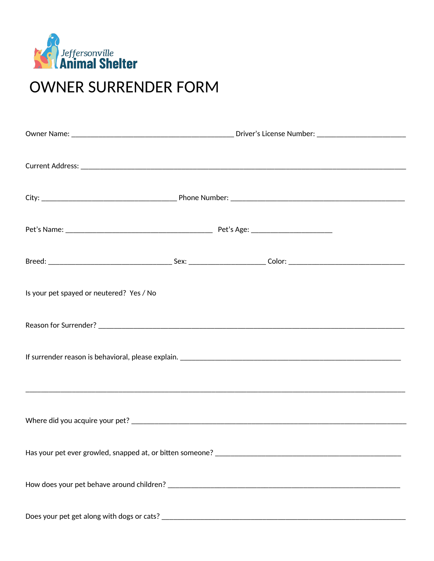

## **OWNER SURRENDER FORM**

| Is your pet spayed or neutered? Yes / No                                          |  |  |  |  |  |
|-----------------------------------------------------------------------------------|--|--|--|--|--|
|                                                                                   |  |  |  |  |  |
|                                                                                   |  |  |  |  |  |
|                                                                                   |  |  |  |  |  |
|                                                                                   |  |  |  |  |  |
| Has your pet ever growled, snapped at, or bitten someone? _______________________ |  |  |  |  |  |
|                                                                                   |  |  |  |  |  |
| Does your pet get along with dogs or cats?                                        |  |  |  |  |  |